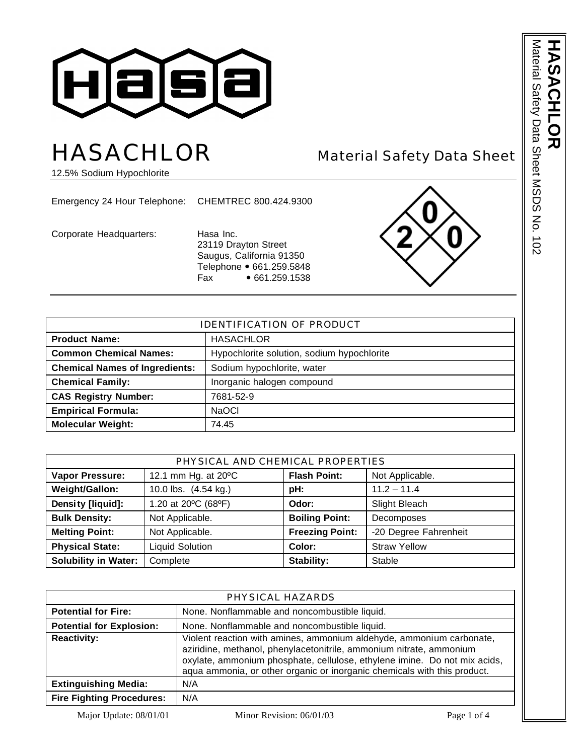

# HASACHLOR Material Safety Data Sheet

12.5% Sodium Hypochlorite

Emergency 24 Hour Telephone: CHEMTREC 800.424.9300

Corporate Headquarters: Hasa Inc.

23119 Drayton Street Saugus, California 91350 Telephone • 661.259.5848<br>Fax • 661.259.1538  $• 661.259.1538$ 



| <b>IDENTIFICATION OF PRODUCT</b>      |                                            |  |
|---------------------------------------|--------------------------------------------|--|
| <b>Product Name:</b>                  | <b>HASACHLOR</b>                           |  |
| <b>Common Chemical Names:</b>         | Hypochlorite solution, sodium hypochlorite |  |
| <b>Chemical Names of Ingredients:</b> | Sodium hypochlorite, water                 |  |
| <b>Chemical Family:</b>               | Inorganic halogen compound                 |  |
| <b>CAS Registry Number:</b>           | 7681-52-9                                  |  |
| <b>Empirical Formula:</b>             | <b>NaOCI</b>                               |  |
| <b>Molecular Weight:</b>              | 74.45                                      |  |

| PHYSICAL AND CHEMICAL PROPERTIES |                        |                                        |                       |  |
|----------------------------------|------------------------|----------------------------------------|-----------------------|--|
| <b>Vapor Pressure:</b>           | 12.1 mm Hg. at 20°C    | <b>Flash Point:</b><br>Not Applicable. |                       |  |
| Weight/Gallon:                   | 10.0 lbs. (4.54 kg.)   | pH:                                    | $11.2 - 11.4$         |  |
| Density [liquid]:                | 1.20 at 20°C (68°F)    | Odor:                                  | Slight Bleach         |  |
| <b>Bulk Density:</b>             | Not Applicable.        | <b>Boiling Point:</b>                  | Decomposes            |  |
| <b>Melting Point:</b>            | Not Applicable.        | <b>Freezing Point:</b>                 | -20 Degree Fahrenheit |  |
| <b>Physical State:</b>           | <b>Liquid Solution</b> | Color:                                 | <b>Straw Yellow</b>   |  |
| <b>Solubility in Water:</b>      | Complete               | Stability:                             | Stable                |  |

| PHYSICAL HAZARDS                 |                                                                                                                                                                                                                                                                                                      |  |
|----------------------------------|------------------------------------------------------------------------------------------------------------------------------------------------------------------------------------------------------------------------------------------------------------------------------------------------------|--|
| <b>Potential for Fire:</b>       | None. Nonflammable and noncombustible liquid.                                                                                                                                                                                                                                                        |  |
| <b>Potential for Explosion:</b>  | None. Nonflammable and noncombustible liquid.                                                                                                                                                                                                                                                        |  |
| <b>Reactivity:</b>               | Violent reaction with amines, ammonium aldehyde, ammonium carbonate,<br>aziridine, methanol, phenylacetonitrile, ammonium nitrate, ammonium<br>oxylate, ammonium phosphate, cellulose, ethylene imine. Do not mix acids,<br>aqua ammonia, or other organic or inorganic chemicals with this product. |  |
| <b>Extinguishing Media:</b>      | N/A                                                                                                                                                                                                                                                                                                  |  |
| <b>Fire Fighting Procedures:</b> | N/A                                                                                                                                                                                                                                                                                                  |  |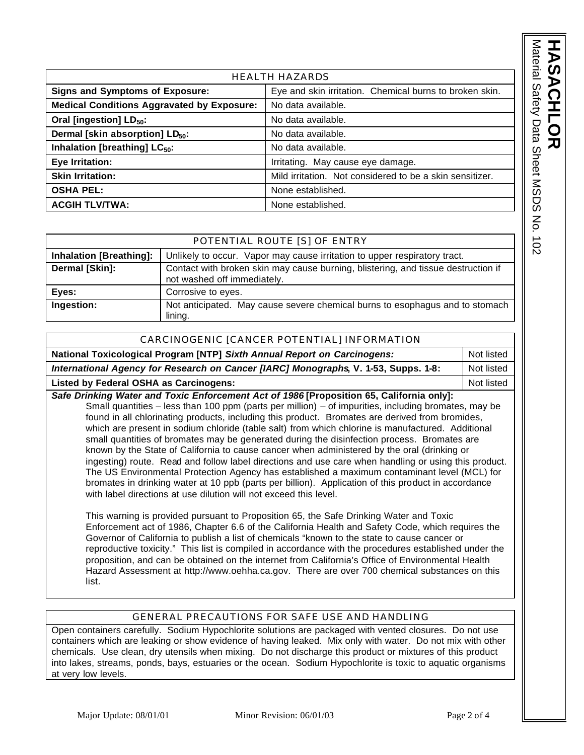| <b><i>Naterial Safety Data Sheet I</i></b><br>$\ddot{\bm{\zeta}}$<br>ミクに<br>$\frac{1}{2}$<br>ç |  |
|------------------------------------------------------------------------------------------------|--|
|------------------------------------------------------------------------------------------------|--|

| <b>HEALTH HAZARDS</b>                             |                                                          |  |
|---------------------------------------------------|----------------------------------------------------------|--|
| <b>Signs and Symptoms of Exposure:</b>            | Eye and skin irritation. Chemical burns to broken skin.  |  |
| <b>Medical Conditions Aggravated by Exposure:</b> | No data available.                                       |  |
| Oral [ingestion] LD <sub>50</sub> :               | No data available.                                       |  |
| Dermal [skin absorption] LD <sub>50</sub> :       | No data available.                                       |  |
| Inhalation [breathing] LC <sub>50</sub> :         | No data available.                                       |  |
| Eye Irritation:                                   | Irritating. May cause eye damage.                        |  |
| <b>Skin Irritation:</b>                           | Mild irritation. Not considered to be a skin sensitizer. |  |
| <b>OSHA PEL:</b>                                  | None established.                                        |  |
| <b>ACGIH TLV/TWA:</b>                             | None established.                                        |  |

|                                | POTENTIAL ROUTE [S] OF ENTRY                                                                                     |
|--------------------------------|------------------------------------------------------------------------------------------------------------------|
| <b>Inhalation [Breathing]:</b> | Unlikely to occur. Vapor may cause irritation to upper respiratory tract.                                        |
| Dermal [Skin]:                 | Contact with broken skin may cause burning, blistering, and tissue destruction if<br>not washed off immediately. |
| Eyes:                          | Corrosive to eyes.                                                                                               |
| Ingestion:                     | Not anticipated. May cause severe chemical burns to esophagus and to stomach<br>lining.                          |

| CARCINOGENIC [CANCER POTENTIAL] INFORMATION                                                                                                                                                                                                                                                                                                                                                                                                                                                                                                                                                                                                                                                                                                                                                                                                                                                                                                                                                                                                                                                                                                                                                                                                                                                                                                                                                                    |            |
|----------------------------------------------------------------------------------------------------------------------------------------------------------------------------------------------------------------------------------------------------------------------------------------------------------------------------------------------------------------------------------------------------------------------------------------------------------------------------------------------------------------------------------------------------------------------------------------------------------------------------------------------------------------------------------------------------------------------------------------------------------------------------------------------------------------------------------------------------------------------------------------------------------------------------------------------------------------------------------------------------------------------------------------------------------------------------------------------------------------------------------------------------------------------------------------------------------------------------------------------------------------------------------------------------------------------------------------------------------------------------------------------------------------|------------|
| National Toxicological Program [NTP] Sixth Annual Report on Carcinogens:                                                                                                                                                                                                                                                                                                                                                                                                                                                                                                                                                                                                                                                                                                                                                                                                                                                                                                                                                                                                                                                                                                                                                                                                                                                                                                                                       | Not listed |
| International Agency for Research on Cancer [IARC] Monographs, V. 1-53, Supps. 1-8:                                                                                                                                                                                                                                                                                                                                                                                                                                                                                                                                                                                                                                                                                                                                                                                                                                                                                                                                                                                                                                                                                                                                                                                                                                                                                                                            | Not listed |
| <b>Listed by Federal OSHA as Carcinogens:</b>                                                                                                                                                                                                                                                                                                                                                                                                                                                                                                                                                                                                                                                                                                                                                                                                                                                                                                                                                                                                                                                                                                                                                                                                                                                                                                                                                                  | Not listed |
| Safe Drinking Water and Toxic Enforcement Act of 1986 [Proposition 65, California only]:<br>Small quantities $-$ less than 100 ppm (parts per million) $-$ of impurities, including bromates, may be<br>found in all chlorinating products, including this product. Bromates are derived from bromides,<br>which are present in sodium chloride (table salt) from which chlorine is manufactured. Additional<br>small quantities of bromates may be generated during the disinfection process. Bromates are<br>known by the State of California to cause cancer when administered by the oral (drinking or<br>ingesting) route. Read and follow label directions and use care when handling or using this product.<br>The US Environmental Protection Agency has established a maximum contaminant level (MCL) for<br>bromates in drinking water at 10 ppb (parts per billion). Application of this product in accordance<br>with label directions at use dilution will not exceed this level.<br>This warning is provided pursuant to Proposition 65, the Safe Drinking Water and Toxic<br>Enforcement act of 1986, Chapter 6.6 of the California Health and Safety Code, which requires the<br>Governor of California to publish a list of chemicals "known to the state to cause cancer or<br>ranga di satu ta shake 11. Thin tintin na maita di annan annan sa tutti tha mannan dan anna dalaman annan tha |            |

reproductive toxicity." This list is compiled in accordance with the procedures established under the proposition, and can be obtained on the internet from California's Office of Environmental Health Hazard Assessment at http://www.oehha.ca.gov. There are over 700 chemical substances on this list.

## GENERAL PRECAUTIONS FOR SAFE USE AND HANDLING

Open containers carefully. Sodium Hypochlorite solutions are packaged with vented closures. Do not use containers which are leaking or show evidence of having leaked. Mix only with water. Do not mix with other chemicals. Use clean, dry utensils when mixing. Do not discharge this product or mixtures of this product into lakes, streams, ponds, bays, estuaries or the ocean. Sodium Hypochlorite is toxic to aquatic organisms at very low levels.

Major Update: 08/01/01 Minor Revision: 06/01/03 Page 2 of 4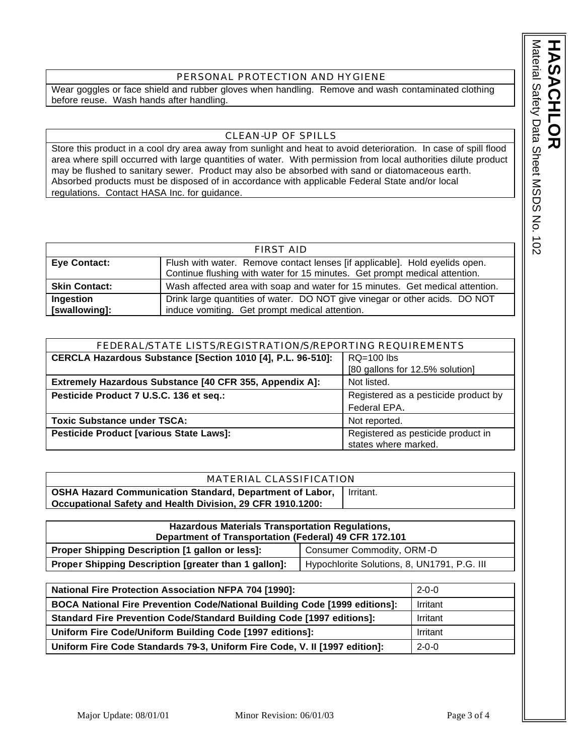Material Sater MSDS NOS 102 Material Safety Data Sheet MSDS No. 102 **HASACHLOR HASACHLOR** 

#### PERSONAL PROTECTION AND HYGIENE

Wear goggles or face shield and rubber gloves when handling. Remove and wash contaminated clothing before reuse. Wash hands after handling.

## CLEAN-UP OF SPILLS

Store this product in a cool dry area away from sunlight and heat to avoid deterioration. In case of spill flood area where spill occurred with large quantities of water. With permission from local authorities dilute product may be flushed to sanitary sewer. Product may also be absorbed with sand or diatomaceous earth. Absorbed products must be disposed of in accordance with applicable Federal State and/or local regulations. Contact HASA Inc. for guidance.

| FIRST AID            |                                                                               |  |
|----------------------|-------------------------------------------------------------------------------|--|
| <b>Eye Contact:</b>  | Flush with water. Remove contact lenses [if applicable]. Hold eyelids open.   |  |
|                      | Continue flushing with water for 15 minutes. Get prompt medical attention.    |  |
| <b>Skin Contact:</b> | Wash affected area with soap and water for 15 minutes. Get medical attention. |  |
| Ingestion            | Drink large quantities of water. DO NOT give vinegar or other acids. DO NOT   |  |
| [swallowing]:        | induce vomiting. Get prompt medical attention.                                |  |

| FEDERAL/STATE LISTS/REGISTRATION/S/REPORTING REQUIREMENTS                   |                                      |  |
|-----------------------------------------------------------------------------|--------------------------------------|--|
| CERCLA Hazardous Substance [Section 1010 [4], P.L. 96-510]:<br>$RQ=100$ lbs |                                      |  |
|                                                                             | [80 gallons for 12.5% solution]      |  |
| Extremely Hazardous Substance [40 CFR 355, Appendix A]:<br>Not listed.      |                                      |  |
| Pesticide Product 7 U.S.C. 136 et seq.:                                     | Registered as a pesticide product by |  |
|                                                                             | Federal EPA.                         |  |
| <b>Toxic Substance under TSCA:</b>                                          | Not reported.                        |  |
| Pesticide Product [various State Laws]:                                     | Registered as pesticide product in   |  |
|                                                                             | states where marked.                 |  |

| MATERIAL CLASSIFICATION                                    |           |  |
|------------------------------------------------------------|-----------|--|
| OSHA Hazard Communication Standard, Department of Labor,   | Irritant. |  |
| Occupational Safety and Health Division, 29 CFR 1910.1200: |           |  |

| <b>Hazardous Materials Transportation Regulations,</b><br>Department of Transportation (Federal) 49 CFR 172.101 |  |  |
|-----------------------------------------------------------------------------------------------------------------|--|--|
| Consumer Commodity, ORM-D<br>Proper Shipping Description [1 gallon or less]:                                    |  |  |
| Proper Shipping Description [greater than 1 gallon]:<br>Hypochlorite Solutions, 8, UN1791, P.G. III             |  |  |

| <b>National Fire Protection Association NFPA 704 [1990]:</b>                      | $2 - 0 - 0$ |
|-----------------------------------------------------------------------------------|-------------|
| <b>BOCA National Fire Prevention Code/National Building Code [1999 editions]:</b> | Irritant    |
| <b>Standard Fire Prevention Code/Standard Building Code [1997 editions]:</b>      | Irritant    |
| Uniform Fire Code/Uniform Building Code [1997 editions]:                          | Irritant    |
| Uniform Fire Code Standards 79-3, Uniform Fire Code, V. II [1997 edition]:        | $2 - 0 - 0$ |